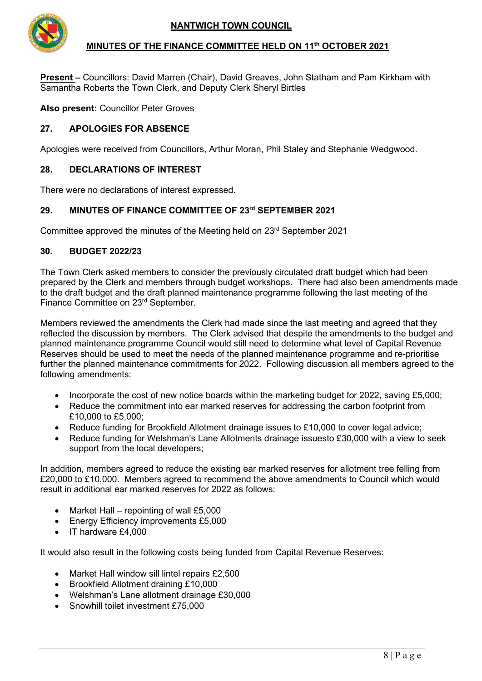

## **MINUTES OF THE FINANCE COMMITTEE HELD ON 11th OCTOBER 2021**

**Present –** Councillors: David Marren (Chair), David Greaves, John Statham and Pam Kirkham with Samantha Roberts the Town Clerk, and Deputy Clerk Sheryl Birtles

**Also present:** Councillor Peter Groves

## **27. APOLOGIES FOR ABSENCE**

Apologies were received from Councillors, Arthur Moran, Phil Staley and Stephanie Wedgwood.

### **28. DECLARATIONS OF INTEREST**

There were no declarations of interest expressed.

# **29. MINUTES OF FINANCE COMMITTEE OF 23rd SEPTEMBER 2021**

Committee approved the minutes of the Meeting held on 23rd September 2021

#### **30. BUDGET 2022/23**

The Town Clerk asked members to consider the previously circulated draft budget which had been prepared by the Clerk and members through budget workshops. There had also been amendments made to the draft budget and the draft planned maintenance programme following the last meeting of the Finance Committee on 23rd September.

Members reviewed the amendments the Clerk had made since the last meeting and agreed that they reflected the discussion by members. The Clerk advised that despite the amendments to the budget and planned maintenance programme Council would still need to determine what level of Capital Revenue Reserves should be used to meet the needs of the planned maintenance programme and re-prioritise further the planned maintenance commitments for 2022. Following discussion all members agreed to the following amendments:

- Incorporate the cost of new notice boards within the marketing budget for 2022, saving £5,000;
- Reduce the commitment into ear marked reserves for addressing the carbon footprint from £10,000 to £5,000;
- Reduce funding for Brookfield Allotment drainage issues to £10,000 to cover legal advice;
- Reduce funding for Welshman's Lane Allotments drainage issuesto £30,000 with a view to seek support from the local developers;

In addition, members agreed to reduce the existing ear marked reserves for allotment tree felling from £20,000 to £10,000. Members agreed to recommend the above amendments to Council which would result in additional ear marked reserves for 2022 as follows:

- Market Hall repointing of wall £5,000
- Energy Efficiency improvements £5,000
- IT hardware £4,000

It would also result in the following costs being funded from Capital Revenue Reserves:

- Market Hall window sill lintel repairs £2,500
- Brookfield Allotment draining £10,000
- Welshman's Lane allotment drainage £30,000
- Snowhill toilet investment £75,000